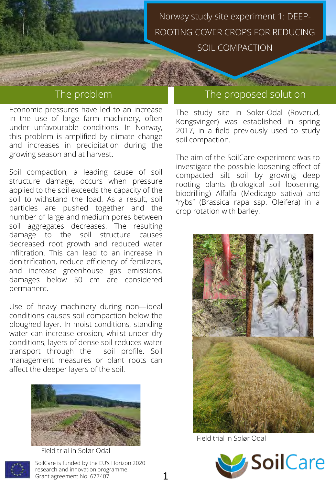Economic pressures have led to an increase in the use of large farm machinery, often under unfavourable conditions. In Norway, this problem is amplified by climate change and increases in precipitation during the growing season and at harvest.

Soil compaction, a leading cause of soil structure damage, occurs when pressure applied to the soil exceeds the capacity of the soil to withstand the load. As a result, soil particles are pushed together and the number of large and medium pores between soil aggregates decreases. The resulting damage to the soil structure causes decreased root growth and reduced water infiltration. This can lead to an increase in denitrification, reduce efficiency of fertilizers, and increase greenhouse gas emissions. damages below 50 cm are considered permanent.

Use of heavy machinery during non—ideal conditions causes soil compaction below the ploughed layer. In moist conditions, standing water can increase erosion, whilst under dry conditions, layers of dense soil reduces water transport through the soil profile. Soil management measures or plant roots can affect the deeper layers of the soil.



SoilCare is funded by the EU's Horizon 2020 research and innovation programme. Grant agreement No. 677407 Field trial in Solør Odal

## The problem The proposed solution

The study site in Solør-Odal (Roverud, Kongsvinger) was established in spring 2017, in a field previously used to study soil compaction.

The aim of the SoilCare experiment was to investigate the possible loosening effect of compacted silt soil by growing deep rooting plants (biological soil loosening, biodrilling) Alfalfa (Medicago sativa) and "rybs" (Brassica rapa ssp. Oleifera) in a crop rotation with barley.



Field trial in Solør Odal

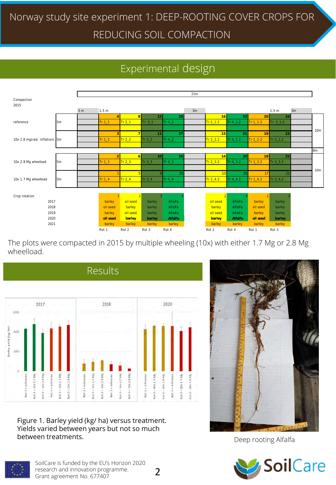# Experimental design



The plots were compacted in 2015 by multiple wheeling (10x) with either 1.7 Mg or 2.8 Mg wheelload.



Figure 1. Barley yield (kg/ ha) versus treatment. Yields varied between years but not so much between treatments.



Deep rooting Alfalfa





2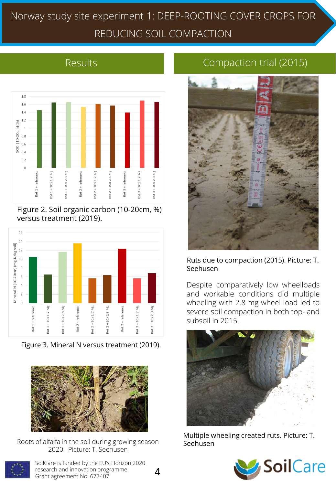

Figure 2. Soil organic carbon (10-20cm, %) versus treatment (2019).



Figure 3. Mineral N versus treatment (2019).



Roots of alfalfa in the soil during growing season 2020. Picture: T. Seehusen



SoilCare is funded by the EU's Horizon 2020 research and innovation programme. Grant agreement No. 677407

# Results **Compaction trial (2015)**



### Ruts due to compaction (2015). Picture: T. Seehusen

Despite comparatively low wheelloads and workable conditions did multiple wheeling with 2.8 mg wheel load led to severe soil compaction in both top- and subsoil in 2015.



Multiple wheeling created ruts. Picture: T. Seehusen

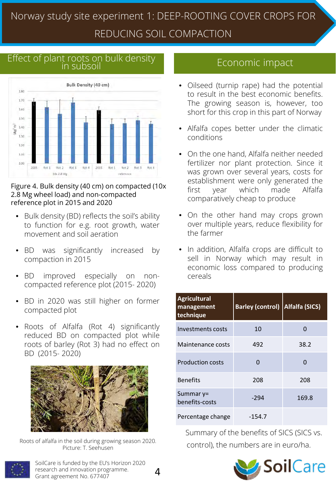# Effect of plant roots on bulk density<br>in subsoil



### Figure 4. Bulk density (40 cm) on compacted (10x 2.8 Mg wheel load) and non-compacted reference plot in 2015 and 2020

- Bulk density (BD) reflects the soil's ability to function for e.g. root growth, water movement and soil aeration
- BD was significantly increased by compaction in 2015
- BD improved especially on noncompacted reference plot (2015- 2020)
- BD in 2020 was still higher on former compacted plot
- Roots of Alfalfa (Rot 4) significantly reduced BD on compacted plot while roots of barley (Rot 3) had no effect on BD (2015- 2020)



Roots of alfalfa in the soil during growing season 2020.<br>Picture: T. Seebusen Control), the numbers are in euro/ha. Picture: T. Seehusen



SoilCare is funded by the EU's Horizon 2020 research and innovation programme. Grant agreement No. 677407

- Oilseed (turnip rape) had the potential to result in the best economic benefits. The growing season is, however, too short for this crop in this part of Norway
- Alfalfa copes better under the climatic conditions
- On the one hand, Alfalfa neither needed fertilizer nor plant protection. Since it was grown over several years, costs for establishment were only generated the first year which made Alfalfa comparatively cheap to produce
- On the other hand may crops grown over multiple years, reduce flexibility for the farmer
- In addition, Alfalfa crops are difficult to sell in Norway which may result in economic loss compared to producing cereals

| <b>Agricultural</b><br>management<br>technique | <b>Barley (control)</b> | Alfalfa (SICS) |
|------------------------------------------------|-------------------------|----------------|
| Investments costs                              | 10                      | O              |
| Maintenance costs                              | 492                     | 38.2           |
| <b>Production costs</b>                        | 0                       | O              |
| <b>Benefits</b>                                | 208                     | 208            |
| Summar y=<br>benefits-costs                    | $-294$                  | 169.8          |
| Percentage change                              | $-154.7$                |                |

Summary of the benefits of SICS (SICS vs.



4